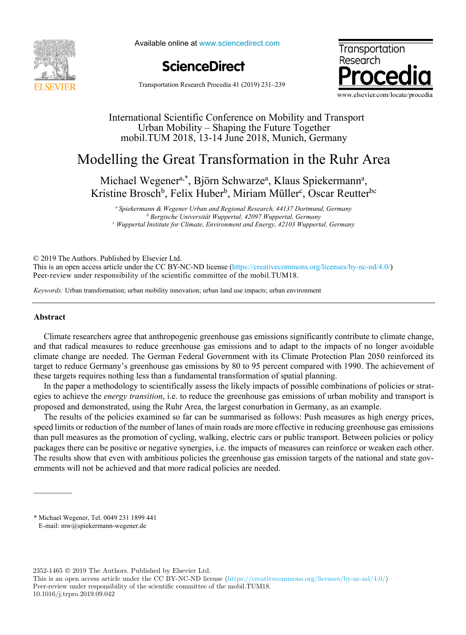

Available online at www.sciencedirect.com





Transportation Research Procedia 41 (2019) 231–239

# mobil.TUM 2018, 13-14 June 2018, Munich, Germany Urban Mobility – Shaping the Future Together International Scientific Conference on Mobility and Transport Urban Mobility – Shaping the Future Together

# Modelling the Great Transformation in the Ruhr Area

Michael Wegener<sup>a,\*</sup>, Björn Schwarze<sup>a</sup>, Klaus Spiekermann<sup>a</sup>, Kristine Brosch<sup>b</sup>, Felix Huber<sup>b</sup>, Miriam Müller<sup>c</sup>, Oscar Reutter<sup>bc</sup>

<sup>a</sup> Spiekermann & Wegener Urban and Regional Research, 44137 Dortmund, Germany b<br><sup>b</sup> Bereische Universität Wunnertal. 42097 Wunnertal. Germany f Spiekermann & Wegener Urban and Regional Research, 44137 Dortmuna<br><sup>b</sup> Bergische Universität Wuppertal, 42097 Wuppertal, Germany<br><sup>c</sup> Wuppertal Institute for Climate, Environment and Energy, 42103 Wuppertal *Wuppertal Institute for Climate, Environment and Energy, 42103 Wuppertal, Germany* 

© 2019 The Authors. Published by Elsevier Ltd.

 $\approx$  2019 The Authors. Published by Elsevier Eta.<br>This is an open access article under the CC BY-NC-ND license (https://creativecommons.org/licenses/by-nc-nd/4.0/) Peer-review under responsibility of the scientific committee of the mobil.TUM18.

*Keywords:* Urban transformation; urban mobility innovation; urban land use impacts; urban environment

#### **Abstract**   $\epsilon$  researchers agreement and antihropogenic greenhouse gas emissions significantly contribute to climate change,  $\epsilon$

**Abstract** 

 $\mathcal{L}$ 

Climate researchers agree that anthropogenic greenhouse gas emissions significantly contribute to climate change, and that radical measures to reduce greenhouse gas emissions and to adapt to the impacts of no longer avoidable climate change are needed. The German Federal Government with its Climate Protection Plan 2050 reinforced its target to reduce Germany's greenhouse gas emissions by 80 to 95 percent compared with 1990. The achievement of these targets requires nothing less than a fundamental transformation of spatial planning.

In the paper a methodology to scientifically assess the likely impacts of possible combinations of policies or strategies to achieve the energy transition, i.e. to reduce the greenhouse gas emissions of urban mobility and transport is proposed and demonstrated, using the Ruhr Area, the largest conurbation in Germany, as an example.

The results of the policies examined so far can be summarised as follows: Push measures as high energy prices, speed limits or reduction of the number of lanes of main roads are more effective in reducing greenhouse gas emissions than pull measures as the promotion of cycling, walking, electric cars or public transport. Between policies or policy packages there can be positive or negative synergies, i.e. the impacts of measures can reinforce or weaken each other. The results show that even with ambitious policies the greenhouse gas emission targets of the national and state governments will not be achieved and that more radical policies are needed.

\* Michael Wegener, Tel. 0049 231 1899 441 E-mail: mw@spiekermann-wegener.de

2352-1465 2019 The Authors. Published by Elsevier Ltd.

This is an open access article under the CC BY-NC-ND license (https://creativecommons.org/licenses/by-nc-nd/4.0/) Peer-review under responsibility of the scientific committee of the mobil.TUM18. 10.1016/j.trpro.2019.09.042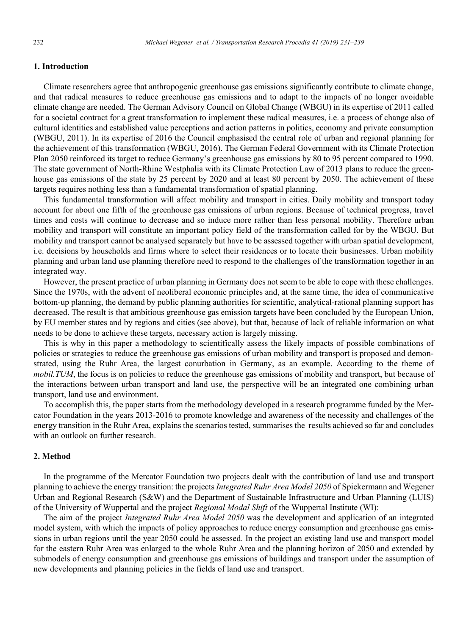# **1. Introduction**

Climate researchers agree that anthropogenic greenhouse gas emissions significantly contribute to climate change, and that radical measures to reduce greenhouse gas emissions and to adapt to the impacts of no longer avoidable climate change are needed. The German Advisory Council on Global Change (WBGU) in its expertise of 2011 called for a societal contract for a great transformation to implement these radical measures, i.e. a process of change also of cultural identities and established value perceptions and action patterns in politics, economy and private consumption (WBGU, 2011). In its expertise of 2016 the Council emphasised the central role of urban and regional planning for the achievement of this transformation (WBGU, 2016). The German Federal Government with its Climate Protection Plan 2050 reinforced its target to reduce Germany's greenhouse gas emissions by 80 to 95 percent compared to 1990. The state government of North-Rhine Westphalia with its Climate Protection Law of 2013 plans to reduce the greenhouse gas emissions of the state by 25 percent by 2020 and at least 80 percent by 2050. The achievement of these targets requires nothing less than a fundamental transformation of spatial planning.

This fundamental transformation will affect mobility and transport in cities. Daily mobility and transport today account for about one fifth of the greenhouse gas emissions of urban regions. Because of technical progress, travel times and costs will continue to decrease and so induce more rather than less personal mobility. Therefore urban mobility and transport will constitute an important policy field of the transformation called for by the WBGU. But mobility and transport cannot be analysed separately but have to be assessed together with urban spatial development, i.e. decisions by households and firms where to select their residences or to locate their businesses. Urban mobility planning and urban land use planning therefore need to respond to the challenges of the transformation together in an integrated way.

However, the present practice of urban planning in Germany does not seem to be able to cope with these challenges. Since the 1970s, with the advent of neoliberal economic principles and, at the same time, the idea of communicative bottom-up planning, the demand by public planning authorities for scientific, analytical-rational planning support has decreased. The result is that ambitious greenhouse gas emission targets have been concluded by the European Union, by EU member states and by regions and cities (see above), but that, because of lack of reliable information on what needs to be done to achieve these targets, necessary action is largely missing.

This is why in this paper a methodology to scientifically assess the likely impacts of possible combinations of policies or strategies to reduce the greenhouse gas emissions of urban mobility and transport is proposed and demonstrated, using the Ruhr Area, the largest conurbation in Germany, as an example. According to the theme of *mobil.TUM*, the focus is on policies to reduce the greenhouse gas emissions of mobility and transport, but because of the interactions between urban transport and land use, the perspective will be an integrated one combining urban transport, land use and environment.

To accomplish this, the paper starts from the methodology developed in a research programme funded by the Mercator Foundation in the years 2013-2016 to promote knowledge and awareness of the necessity and challenges of the energy transition in the Ruhr Area, explains the scenarios tested, summarises the results achieved so far and concludes with an outlook on further research.

# **2. Method**

In the programme of the Mercator Foundation two projects dealt with the contribution of land use and transport planning to achieve the energy transition: the projects *Integrated Ruhr Area Model 2050* of Spiekermann and Wegener Urban and Regional Research (S&W) and the Department of Sustainable Infrastructure and Urban Planning (LUIS) of the University of Wuppertal and the project *Regional Modal Shift* of the Wuppertal Institute (WI):

The aim of the project *Integrated Ruhr Area Model 2050* was the development and application of an integrated model system, with which the impacts of policy approaches to reduce energy consumption and greenhouse gas emissions in urban regions until the year 2050 could be assessed. In the project an existing land use and transport model for the eastern Ruhr Area was enlarged to the whole Ruhr Area and the planning horizon of 2050 and extended by submodels of energy consumption and greenhouse gas emissions of buildings and transport under the assumption of new developments and planning policies in the fields of land use and transport.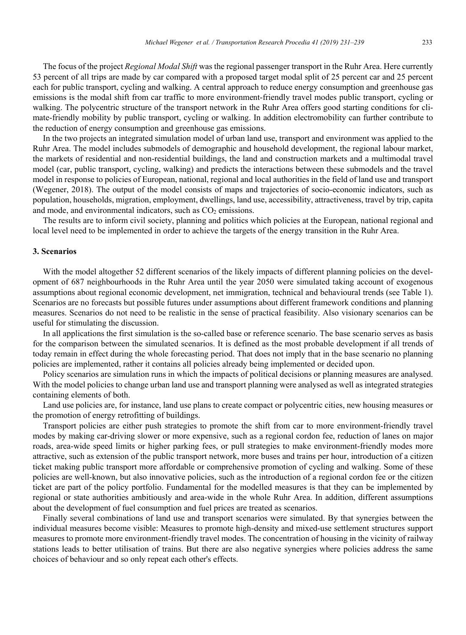The focus of the project *Regional Modal Shift* was the regional passenger transport in the Ruhr Area. Here currently 53 percent of all trips are made by car compared with a proposed target modal split of 25 percent car and 25 percent each for public transport, cycling and walking. A central approach to reduce energy consumption and greenhouse gas emissions is the modal shift from car traffic to more environment-friendly travel modes public transport, cycling or walking. The polycentric structure of the transport network in the Ruhr Area offers good starting conditions for climate-friendly mobility by public transport, cycling or walking. In addition electromobility can further contribute to the reduction of energy consumption and greenhouse gas emissions.

In the two projects an integrated simulation model of urban land use, transport and environment was applied to the Ruhr Area. The model includes submodels of demographic and household development, the regional labour market, the markets of residential and non-residential buildings, the land and construction markets and a multimodal travel model (car, public transport, cycling, walking) and predicts the interactions between these submodels and the travel model in response to policies of European, national, regional and local authorities in the field of land use and transport (Wegener, 2018). The output of the model consists of maps and trajectories of socio-economic indicators, such as population, households, migration, employment, dwellings, land use, accessibility, attractiveness, travel by trip, capita and mode, and environmental indicators, such as  $CO<sub>2</sub>$  emissions.

The results are to inform civil society, planning and politics which policies at the European, national regional and local level need to be implemented in order to achieve the targets of the energy transition in the Ruhr Area.

### **3. Scenarios**

With the model altogether 52 different scenarios of the likely impacts of different planning policies on the development of 687 neighbourhoods in the Ruhr Area until the year 2050 were simulated taking account of exogenous assumptions about regional economic development, net immigration, technical and behavioural trends (see Table 1). Scenarios are no forecasts but possible futures under assumptions about different framework conditions and planning measures. Scenarios do not need to be realistic in the sense of practical feasibility. Also visionary scenarios can be useful for stimulating the discussion.

In all applications the first simulation is the so-called base or reference scenario. The base scenario serves as basis for the comparison between the simulated scenarios. It is defined as the most probable development if all trends of today remain in effect during the whole forecasting period. That does not imply that in the base scenario no planning policies are implemented, rather it contains all policies already being implemented or decided upon.

Policy scenarios are simulation runs in which the impacts of political decisions or planning measures are analysed. With the model policies to change urban land use and transport planning were analysed as well as integrated strategies containing elements of both.

Land use policies are, for instance, land use plans to create compact or polycentric cities, new housing measures or the promotion of energy retrofitting of buildings.

Transport policies are either push strategies to promote the shift from car to more environment-friendly travel modes by making car-driving slower or more expensive, such as a regional cordon fee, reduction of lanes on major roads, area-wide speed limits or higher parking fees, or pull strategies to make environment-friendly modes more attractive, such as extension of the public transport network, more buses and trains per hour, introduction of a citizen ticket making public transport more affordable or comprehensive promotion of cycling and walking. Some of these policies are well-known, but also innovative policies, such as the introduction of a regional cordon fee or the citizen ticket are part of the policy portfolio. Fundamental for the modelled measures is that they can be implemented by regional or state authorities ambitiously and area-wide in the whole Ruhr Area. In addition, different assumptions about the development of fuel consumption and fuel prices are treated as scenarios.

Finally several combinations of land use and transport scenarios were simulated. By that synergies between the individual measures become visible: Measures to promote high-density and mixed-use settlement structures support measures to promote more environment-friendly travel modes. The concentration of housing in the vicinity of railway stations leads to better utilisation of trains. But there are also negative synergies where policies address the same choices of behaviour and so only repeat each other's effects.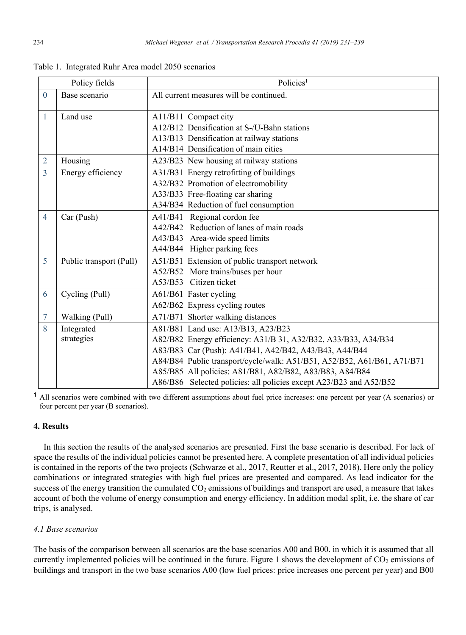| Policy fields  |                         | Policies <sup>1</sup>                                                   |
|----------------|-------------------------|-------------------------------------------------------------------------|
| $\overline{0}$ | Base scenario           | All current measures will be continued.                                 |
| $\mathbf{1}$   | Land use                | A11/B11 Compact city                                                    |
|                |                         | A12/B12 Densification at S-/U-Bahn stations                             |
|                |                         | A13/B13 Densification at railway stations                               |
|                |                         | A14/B14 Densification of main cities                                    |
| $\overline{2}$ | Housing                 | A23/B23 New housing at railway stations                                 |
| 3              | Energy efficiency       | A31/B31 Energy retrofitting of buildings                                |
|                |                         | A32/B32 Promotion of electromobility                                    |
|                |                         | A33/B33 Free-floating car sharing                                       |
|                |                         | A34/B34 Reduction of fuel consumption                                   |
| $\overline{4}$ | Car (Push)              | A41/B41 Regional cordon fee                                             |
|                |                         | A42/B42 Reduction of lanes of main roads                                |
|                |                         | A43/B43 Area-wide speed limits                                          |
|                |                         | A44/B44 Higher parking fees                                             |
| 5              | Public transport (Pull) | A51/B51 Extension of public transport network                           |
|                |                         | A52/B52 More trains/buses per hour                                      |
|                |                         | A53/B53 Citizen ticket                                                  |
| 6              | Cycling (Pull)          | A61/B61 Faster cycling                                                  |
|                |                         | A62/B62 Express cycling routes                                          |
| $\overline{7}$ | Walking (Pull)          | A71/B71 Shorter walking distances                                       |
| 8              | Integrated              | A81/B81 Land use: A13/B13, A23/B23                                      |
|                | strategies              | A82/B82 Energy efficiency: A31/B 31, A32/B32, A33/B33, A34/B34          |
|                |                         | A83/B83 Car (Push): A41/B41, A42/B42, A43/B43, A44/B44                  |
|                |                         | A84/B84 Public transport/cycle/walk: A51/B51, A52/B52, A61/B61, A71/B71 |
|                |                         | A85/B85 All policies: A81/B81, A82/B82, A83/B83, A84/B84                |
|                |                         | A86/B86 Selected policies: all policies except A23/B23 and A52/B52      |

Table 1. Integrated Ruhr Area model 2050 scenarios

<sup>1</sup> All scenarios were combined with two different assumptions about fuel price increases: one percent per year (A scenarios) or four percent per year (B scenarios).

# **4. Results**

In this section the results of the analysed scenarios are presented. First the base scenario is described. For lack of space the results of the individual policies cannot be presented here. A complete presentation of all individual policies is contained in the reports of the two projects (Schwarze et al., 2017, Reutter et al., 2017, 2018). Here only the policy combinations or integrated strategies with high fuel prices are presented and compared. As lead indicator for the success of the energy transition the cumulated  $CO<sub>2</sub>$  emissions of buildings and transport are used, a measure that takes account of both the volume of energy consumption and energy efficiency. In addition modal split, i.e. the share of car trips, is analysed.

# *4.1 Base scenarios*

The basis of the comparison between all scenarios are the base scenarios A00 and B00. in which it is assumed that all currently implemented policies will be continued in the future. Figure 1 shows the development of  $CO<sub>2</sub>$  emissions of buildings and transport in the two base scenarios A00 (low fuel prices: price increases one percent per year) and B00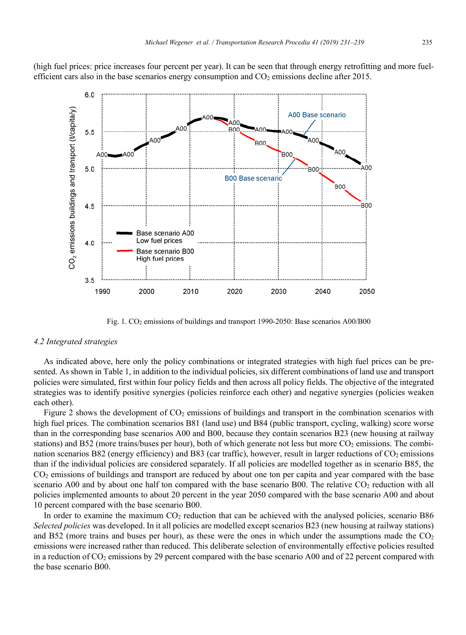(high fuel prices: price increases four percent per year). It can be seen that through energy retrofitting and more fuelefficient cars also in the base scenarios energy consumption and  $CO<sub>2</sub>$  emissions decline after 2015.



Fig. 1. CO2 emissions of buildings and transport 1990-2050: Base scenarios A00/B00

# *4.2 Integrated strategies*

As indicated above, here only the policy combinations or integrated strategies with high fuel prices can be presented. As shown in Table 1, in addition to the individual policies, six different combinations of land use and transport policies were simulated, first within four policy fields and then across all policy fields. The objective of the integrated strategies was to identify positive synergies (policies reinforce each other) and negative synergies (policies weaken each other).

Figure 2 shows the development of CO<sub>2</sub> emissions of buildings and transport in the combination scenarios with high fuel prices. The combination scenarios B81 (land use) und B84 (public transport, cycling, walking) score worse than in the corresponding base scenarios A00 and B00, because they contain scenarios B23 (new housing at railway stations) and B52 (more trains/buses per hour), both of which generate not less but more CO<sub>2</sub> emissions. The combination scenarios B82 (energy efficiency) and B83 (car traffic), however, result in larger reductions of CO<sub>2</sub> emissions than if the individual policies are considered separately. If all policies are modelled together as in scenario B85, the CO2 emissions of buildings and transport are reduced by about one ton per capita and year compared with the base scenario A00 and by about one half ton compared with the base scenario B00. The relative  $CO<sub>2</sub>$  reduction with all policies implemented amounts to about 20 percent in the year 2050 compared with the base scenario A00 and about 10 percent compared with the base scenario B00.

In order to examine the maximum  $CO<sub>2</sub>$  reduction that can be achieved with the analysed policies, scenario B86 *Selected policies* was developed. In it all policies are modelled except scenarios B23 (new housing at railway stations) and B52 (more trains and buses per hour), as these were the ones in which under the assumptions made the  $CO<sub>2</sub>$ emissions were increased rather than reduced. This deliberate selection of environmentally effective policies resulted in a reduction of  $CO<sub>2</sub>$  emissions by 29 percent compared with the base scenario A00 and of 22 percent compared with the base scenario B00.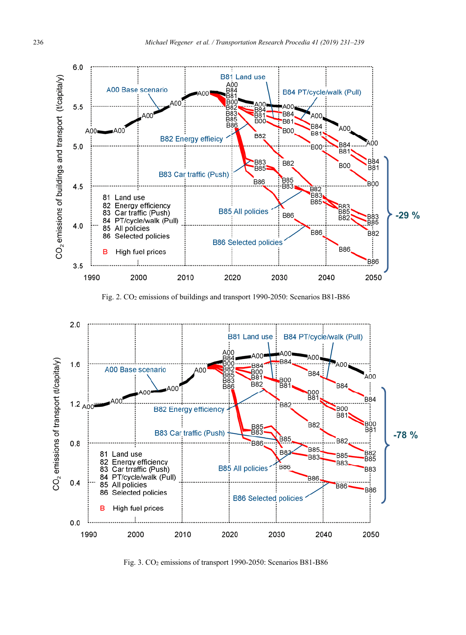

Fig. 2. CO2 emissions of buildings and transport 1990-2050: Scenarios B81-B86



Fig. 3. CO2 emissions of transport 1990-2050: Scenarios B81-B86 **-29**  $\sim$  29  $\sim$  29  $\sim$  29  $\sim$  29  $\sim$  29  $\sim$  29  $\sim$  29  $\sim$  29  $\sim$  29  $\sim$  29  $\sim$  29  $\sim$  29  $\sim$  29  $\sim$  29  $\sim$  29  $\sim$  29  $\sim$  29  $\sim$  29  $\sim$  29  $\sim$  29  $\sim$  29  $\sim$  29  $\sim$  29  $\sim$  29  $\sim$  29  $\sim$  29  $\sim$  29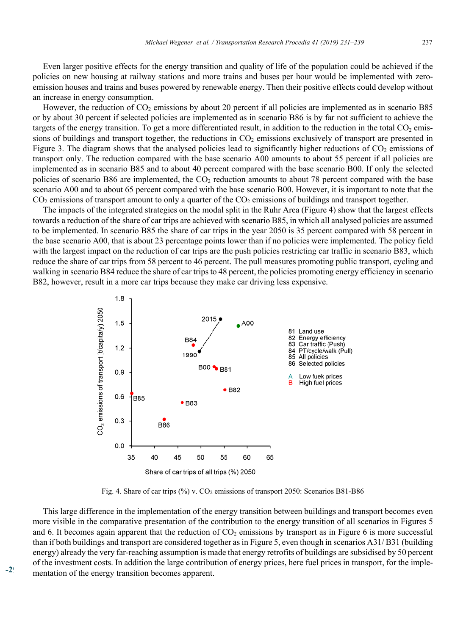Even larger positive effects for the energy transition and quality of life of the population could be achieved if the policies on new housing at railway stations and more trains and buses per hour would be implemented with zeroemission houses and trains and buses powered by renewable energy. Then their positive effects could develop without an increase in energy consumption.

However, the reduction of  $CO<sub>2</sub>$  emissions by about 20 percent if all policies are implemented as in scenario B85 or by about 30 percent if selected policies are implemented as in scenario B86 is by far not sufficient to achieve the targets of the energy transition. To get a more differentiated result, in addition to the reduction in the total  $CO<sub>2</sub>$  emissions of buildings and transport together, the reductions in  $CO<sub>2</sub>$  emissions exclusively of transport are presented in Figure 3. The diagram shows that the analysed policies lead to significantly higher reductions of  $CO<sub>2</sub>$  emissions of transport only. The reduction compared with the base scenario A00 amounts to about 55 percent if all policies are implemented as in scenario B85 and to about 40 percent compared with the base scenario B00. If only the selected policies of scenario B86 are implemented, the  $CO<sub>2</sub>$  reduction amounts to about 78 percent compared with the base scenario A00 and to about 65 percent compared with the base scenario B00. However, it is important to note that the  $CO<sub>2</sub>$  emissions of transport amount to only a quarter of the  $CO<sub>2</sub>$  emissions of buildings and transport together.

The impacts of the integrated strategies on the modal split in the Ruhr Area (Figure 4) show that the largest effects towards a reduction of the share of car trips are achieved with scenario B85, in which all analysed policies are assumed to be implemented. In scenario B85 the share of car trips in the year 2050 is 35 percent compared with 58 percent in the base scenario A00, that is about 23 percentage points lower than if no policies were implemented. The policy field with the largest impact on the reduction of car trips are the push policies restricting car traffic in scenario B83, which reduce the share of car trips from 58 percent to 46 percent. The pull measures promoting public transport, cycling and walking in scenario B84 reduce the share of car trips to 48 percent, the policies promoting energy efficiency in scenario B82, however, result in a more car trips because they make car driving less expensive.



Fig. 4. Share of car trips (%) v. CO<sub>2</sub> emissions of transport 2050: Scenarios B81-B86

This large difference in the implementation of the energy transition between buildings and transport becomes even more visible in the comparative presentation of the contribution to the energy transition of all scenarios in Figures 5 and 6. It becomes again apparent that the reduction of  $CO<sub>2</sub>$  emissions by transport as in Figure 6 is more successful than if both buildings and transport are considered together as in Figure 5, even though in scenarios A31/ B31 (building energy) already the very far-reaching assumption is made that energy retrofits of buildings are subsidised by 50 percent of the investment costs. In addition the large contribution of energy prices, here fuel prices in transport, for the implementation of the energy transition becomes apparent.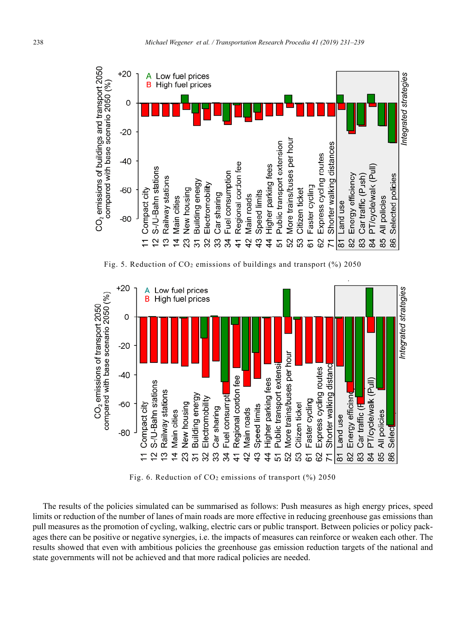

Fig. 5. Reduction of CO2 emissions of buildings and transport (%) 2050



Fig. 6. Reduction of CO2 emissions of transport (%) 2050

The results of the policies simulated can be summarised as follows: Push measures as high energy prices, speed limits or reduction of the number of lanes of main roads are more effective in reducing greenhouse gas emissions than pull measures as the promotion of cycling, walking, electric cars or public transport. Between policies or policy packages there can be positive or negative synergies, i.e. the impacts of measures can reinforce or weaken each other. The results showed that even with ambitious policies the greenhouse gas emission reduction targets of the national and state governments will not be achieved and that more radical policies are needed.